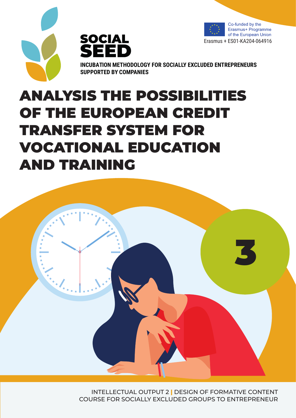





**INCUBATION METHODOLOGY FOR SOCIALLY EXCLUDED ENTREPRENEURS SUPPORTED BY COMPANIES**

# ANALYSIS THE POSSIBILITIES OF THE EUROPEAN CREDIT TRANSFER SYSTEM FOR VOCATIONAL EDUCATION AND TRAINING



INTELLECTUAL OUTPUT 2 **|** DESIGN OF FORMATIVE CONTENT COURSE FOR SOCIALLY EXCLUDED GROUPS TO ENTREPRENEUR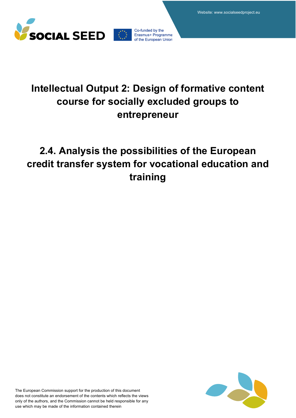



# **Intellectual Output 2: Design of formative content course for socially excluded groups to entrepreneur**

# **2.4. Analysis the possibilities of the European credit transfer system for vocational education and training**

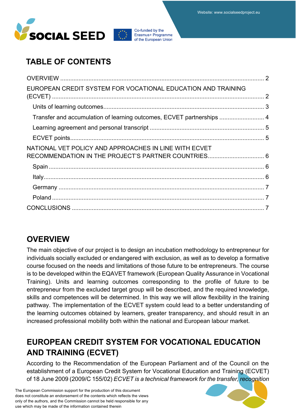



# **TABLE OF CONTENTS**

| Transfer and accumulation of learning outcomes, ECVET partnerships  4 |
|-----------------------------------------------------------------------|
|                                                                       |
|                                                                       |
|                                                                       |
|                                                                       |
|                                                                       |
|                                                                       |
|                                                                       |
|                                                                       |
|                                                                       |

### **OVERVIEW**

The main objective of our project is to design an incubation methodology to entrepreneur for individuals socially excluded or endangered with exclusion, as well as to develop a formative course focused on the needs and limitations of those future to be entrepreneurs. The course is to be developed within the EQAVET framework (European Quality Assurance in Vocational Training). Units and learning outcomes corresponding to the profile of future to be entrepreneur from the excluded target group will be described, and the required knowledge, skills and competences will be determined. In this way we will allow flexibility in the training pathway. The implementation of the ECVET system could lead to a better understanding of the learning outcomes obtained by learners, greater transparency, and should result in an increased professional mobility both within the national and European labour market.

# **EUROPEAN CREDIT SYSTEM FOR VOCATIONAL EDUCATION AND TRAINING (ECVET)**

According to the Recommendation of the European Parliament and of the Council on the establishment of a European Credit System for Vocational Education and Training (ECVET) of 18 June 2009 (2009/C 155/02) *ECVET is a technical framework for the transfer, recognition* 

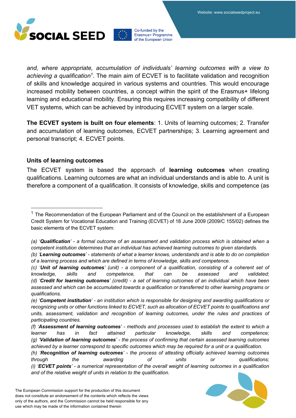

*and, where appropriate, accumulation of individuals' learning outcomes with a view to achieving a qualification1*. The main aim of ECVET is to facilitate validation and recognition of skills and knowledge acquired in various systems and countries. This would encourage increased mobility between countries, a concept within the spirit of the Erasmus+ lifelong learning and educational mobility. Ensuring this requires increasing compatibility of different VET systems, which can be achieved by introducing ECVET system on a larger scale.

**The ECVET system is built on four elements**: 1. Units of learning outcomes; 2. Transfer and accumulation of learning outcomes, ECVET partnerships; 3. Learning agreement and personal transcript; 4. ECVET points.

#### **Units of learning outcomes**

The ECVET system is based the approach of **learning outcomes** when creating qualifications. Learning outcomes are what an individual understands and is able to. A unit is therefore a component of a qualification. It consists of knowledge, skills and competence (as

*<sup>(</sup>h) 'Recognition of learning outcomes' - the process of attesting officially achieved learning outcomes through the awarding of units or qualifications; (i) 'ECVET points' - a numerical representation of the overall weight of learning outcomes in a qualification and of the relative weight of units in relation to the qualification.*



<sup>&</sup>lt;sup>1</sup> The Recommendation of the European Parliament and of the Council on the establishment of a European Credit System for Vocational Education and Training (ECVET) of 18 June 2009 (2009/C 155/02) defines the basic elements of the ECVET system:

*<sup>(</sup>a) 'Qualification' - a formal outcome of an assessment and validation process which is obtained when a competent institution determines that an individual has achieved learning outcomes to given standards.*

*<sup>(</sup>b) 'Learning outcomes' - statements of what a learner knows, understands and is able to do on completion of a learning process and which are defined in terms of knowledge, skills and competence.*

*<sup>(</sup>c) 'Unit of learning outcomes' (unit) - a component of a qualification, consisting of a coherent set of knowledge, skills and competence, that can be assessed and validated; (d) 'Credit for learning outcomes' (credit) - a set of learning outcomes of an individual which have been assessed and which can be accumulated towards a qualification or transferred to other learning programs or qualifications.*

*<sup>(</sup>e) 'Competent institution' - an institution which is responsible for designing and awarding qualifications or recognizing units or other functions linked to ECVET, such as allocation of ECVET points to qualifications and units, assessment, validation and recognition of learning outcomes, under the rules and practices of participating countries.*

*<sup>(</sup>f) 'Assessment of learning outcomes' - methods and processes used to establish the extent to which a learner has in fact attained particular knowledge, skills and competence; (g) 'Validation of learning outcomes' - the process of confirming that certain assessed learning outcomes achieved by a learner correspond to specific outcomes which may be required for a unit or a qualification.*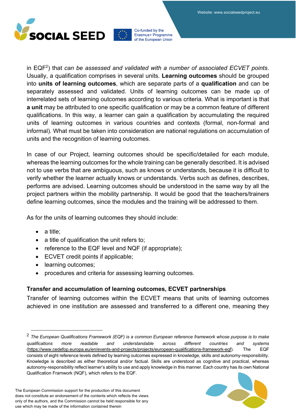

in EQF2) that *can be assessed and validated with a number of associated ECVET points*. Usually, a qualification comprises in several units. **Learning outcomes** should be grouped into **units of learning outcomes**, which are separate parts of a **qualification** and can be separately assessed and validated. Units of learning outcomes can be made up of interrelated sets of learning outcomes according to various criteria. What is important is that **a unit** may be attributed to one specific qualification or may be a common feature of different qualifications. In this way, a learner can gain a qualification by accumulating the required units of learning outcomes in various countries and contexts (formal, non-formal and informal). What must be taken into consideration are national regulations on accumulation of units and the recognition of learning outcomes.

In case of our Project, learning outcomes should be specific/detailed for each module, whereas the learning outcomes for the whole training can be generally described. It is advised not to use verbs that are ambiguous, such as knows or understands, because it is difficult to verify whether the learner actually knows or understands. Verbs such as defines, describes, performs are advised. Learning outcomes should be understood in the same way by all the project partners within the mobility partnership. It would be good that the teachers/trainers define learning outcomes, since the modules and the training will be addressed to them.

As for the units of learning outcomes they should include:

- a title;
- a title of qualification the unit refers to;
- reference to the EQF level and NQF (if appropriate);
- ECVET credit points if applicable;
- learning outcomes;
- procedures and criteria for assessing learning outcomes.

#### **Transfer and accumulation of learning outcomes, ECVET partnerships**

Transfer of learning outcomes within the ECVET means that units of learning outcomes achieved in one institution are assessed and transferred to a different one, meaning they

<sup>2</sup> *The European Qualifications Framework (EQF) is a common European reference framework whose purpose is to make qualifications more readable and understandable across different countries and systems*  (https://www.cedefop.europa.eu/en/events-and-projects/projects/european-qualifications-framework-eqf). The EQF consists of eight reference levels defined by learning outcomes expressed in knowledge, skills and autonomy-responsibility. Knowledge is described as either theoretical and/or factual. Skills are understood as cognitive and practical, whereas autonomy-responsibility reflect learner's ability to use and apply knowledge in this manner. Each country has its own National Qualification Framwork (NQF), which refers to the EQF.

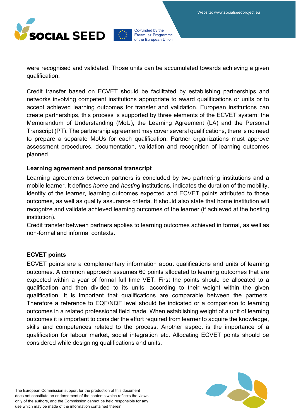

were recognised and validated. Those units can be accumulated towards achieving a given qualification.

Credit transfer based on ECVET should be facilitated by establishing partnerships and networks involving competent institutions appropriate to award qualifications or units or to accept achieved learning outcomes for transfer and validation. European institutions can create partnerships, this process is supported by three elements of the ECVET system: the Memorandum of Understanding (MoU), the Learning Agreement (LA) and the Personal Transcript (PT). The partnership agreement may cover several qualifications, there is no need to prepare a separate MoUs for each qualification. Partner organizations must approve assessment procedures, documentation, validation and recognition of learning outcomes planned.

#### **Learning agreement and personal transcript**

Learning agreements between partners is concluded by two partnering institutions and a mobile learner. It defines *home* and *hosting* institutions, indicates the duration of the mobility, identity of the learner, learning outcomes expected and ECVET points attributed to those outcomes, as well as quality assurance criteria. It should also state that home institution will recognize and validate achieved learning outcomes of the learner (if achieved at the hosting institution).

Credit transfer between partners applies to learning outcomes achieved in formal, as well as non-formal and informal contexts.

#### **ECVET points**

ECVET points are a complementary information about qualifications and units of learning outcomes. A common approach assumes 60 points allocated to learning outcomes that are expected within a year of formal full time VET. First the points should be allocated to a qualification and then divided to its units, according to their weight within the given qualification. It is important that qualifications are comparable between the partners. Therefore a reference to EQF/NQF level should be indicated or a comparison to learning outcomes in a related professional field made. When establishing weight of a unit of learning outcomes it is important to consider the effort required from learner to acquire the knowledge, skills and competences related to the process. Another aspect is the importance of a qualification for labour market, social integration etc. Allocating ECVET points should be considered while designing qualifications and units.

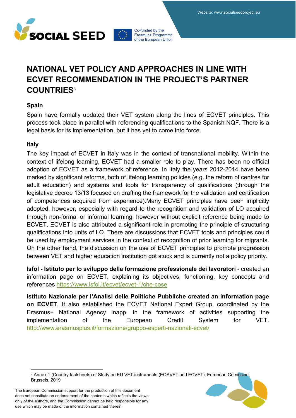

## **NATIONAL VET POLICY AND APPROACHES IN LINE WITH ECVET RECOMMENDATION IN THE PROJECT'S PARTNER COUNTRIES3**

#### **Spain**

Spain have formally updated their VET system along the lines of ECVET principles. This process took place in parallel with referencing qualifications to the Spanish NQF. There is a legal basis for its implementation, but it has yet to come into force.

#### **Italy**

The key impact of ECVET in Italy was in the context of transnational mobility. Within the context of lifelong learning, ECVET had a smaller role to play. There has been no official adoption of ECVET as a framework of reference. In Italy the years 2012-2014 have been marked by significant reforms, both of lifelong learning policies (e.g. the reform of centres for adult education) and systems and tools for transparency of qualifications (through the legislative decree 13/13 focused on drafting the framework for the validation and certification of competences acquired from experience).Many ECVET principles have been implicitly adopted, however, especially with regard to the recognition and validation of LO acquired through non-formal or informal learning, however without explicit reference being made to ECVET. ECVET is also attributed a significant role in promoting the principle of structuring qualifications into units of LO. There are discussions that ECVET tools and principles could be used by employment services in the context of recognition of prior learning for migrants. On the other hand, the discussion on the use of ECVET principles to promote progression between VET and higher education institution got stuck and is currently not a policy priority*.*

**Isfol - Istituto per lo sviluppo della formazione professionale dei lavoratori** - created an information page on ECVET, explaining its objectives, functioning, key concepts and references https://www.isfol.it/ecvet/ecvet-1/che-cose

**Istituto Nazionale per l'Analisi delle Politiche Pubbliche created an information page on ECVET**. It also established the ECVET National Expert Group, coordinated by the Erasmus+ National Agency Inapp, in the framework of activities supporting the implementation of the European Credit System for VET. http://www.erasmusplus.it/formazione/gruppo-esperti-nazionali-ecvet/

<sup>&</sup>lt;sup>3</sup> Annex 1 (Country factsheets) of Study on EU VET instruments (EQAVET and ECVET), European Comission, Brussels, 2019

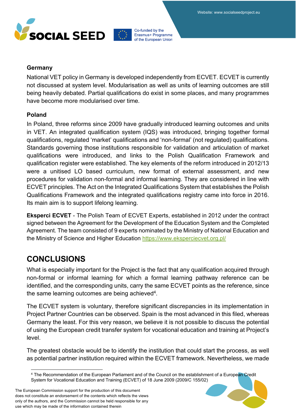



#### **Germany**

National VET policy in Germany is developed independently from ECVET. ECVET is currently not discussed at system level. Modularisation as well as units of learning outcomes are still being heavily debated. Partial qualifications do exist in some places, and many programmes have become more modularised over time*.*

#### **Poland**

In Poland, three reforms since 2009 have gradually introduced learning outcomes and units in VET. An integrated qualification system (IQS) was introduced, bringing together formal qualifications, regulated 'market' qualifications and 'non-formal' (not regulated) qualifications. Standards governing those institutions responsible for validation and articulation of market qualifications were introduced, and links to the Polish Qualification Framework and qualification register were established. The key elements of the reform introduced in 2012/13 were a unitised LO based curriculum, new format of external assessment, and new procedures for validation non-formal and informal learning. They are considered in line with ECVET principles. The Act on the Integrated Qualifications System that establishes the Polish Qualifications Framework and the integrated qualifications registry came into force in 2016. Its main aim is to support lifelong learning.

**Eksperci ECVET** - The Polish Team of ECVET Experts, established in 2012 under the contract signed between the Agreement for the Development of the Education System and the Completed Agreement. The team consisted of 9 experts nominated by the Ministry of National Education and the Ministry of Science and Higher Education https://www.eksperciecvet.org.pl/

### **CONCLUSIONS**

What is especially important for the Project is the fact that any qualification acquired through non-formal or informal learning for which a formal learning pathway reference can be identified, and the corresponding units, carry the same ECVET points as the reference, since the same learning outcomes are being achieved<sup>4</sup>.

The ECVET system is voluntary, therefore significant discrepancies in its implementation in Project Partner Countries can be observed. Spain is the most advanced in this filed, whereas Germany the least. For this very reason, we believe it is not possible to discuss the potential of using the European credit transfer system for vocational education and training at Project's level.

The greatest obstacle would be to identify the institution that could start the process, as well as potential partner institution required within the ECVET framework. Nevertheless, we made



<sup>4</sup> The Recommendation of the European Parliament and of the Council on the establishment of a European Credit System for Vocational Education and Training (ECVET) of 18 June 2009 (2009/C 155/02)